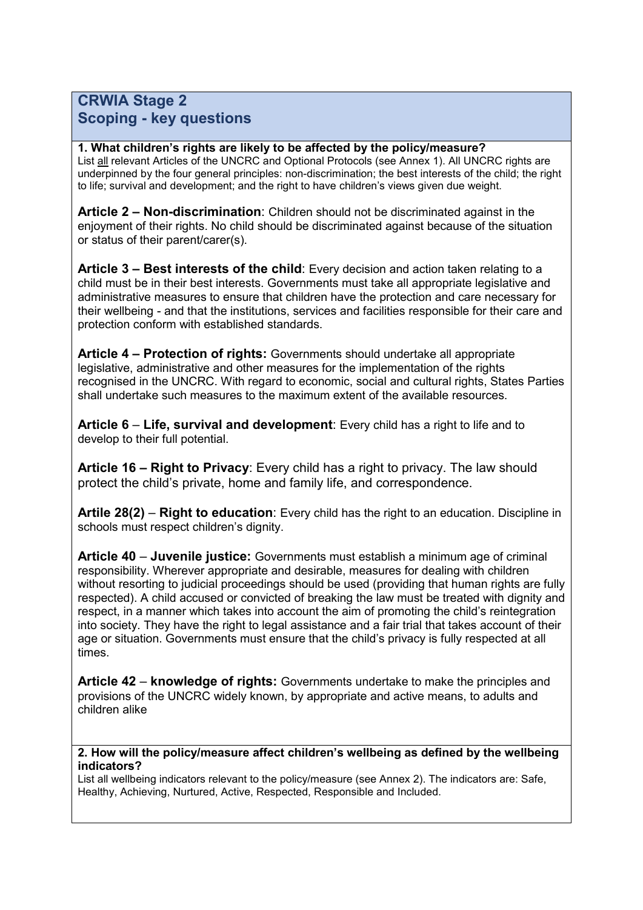## **CRWIA Stage 2 Scoping - key questions**

## **1. What children's rights are likely to be affected by the policy/measure?**

List all relevant Articles of the UNCRC and Optional Protocols (see Annex 1). All UNCRC rights are underpinned by the four general principles: non-discrimination; the best interests of the child; the right to life; survival and development; and the right to have children's views given due weight.

**Article 2 – Non-discrimination**: Children should not be discriminated against in the enjoyment of their rights. No child should be discriminated against because of the situation or status of their parent/carer(s).

**Article 3 – Best interests of the child**: Every decision and action taken relating to a child must be in their best interests. Governments must take all appropriate legislative and administrative measures to ensure that children have the protection and care necessary for their wellbeing - and that the institutions, services and facilities responsible for their care and protection conform with established standards.

**Article 4 – Protection of rights:** Governments should undertake all appropriate legislative, administrative and other measures for the implementation of the rights recognised in the UNCRC. With regard to economic, social and cultural rights, States Parties shall undertake such measures to the maximum extent of the available resources.

**Article 6** – **Life, survival and development**: Every child has a right to life and to develop to their full potential.

**Article 16 – Right to Privacy**: Every child has a right to privacy. The law should protect the child's private, home and family life, and correspondence.

**Artile 28(2)** – **Right to education**: Every child has the right to an education. Discipline in schools must respect children's dignity.

**Article 40** – **Juvenile justice:** Governments must establish a minimum age of criminal responsibility. Wherever appropriate and desirable, measures for dealing with children without resorting to judicial proceedings should be used (providing that human rights are fully respected). A child accused or convicted of breaking the law must be treated with dignity and respect, in a manner which takes into account the aim of promoting the child's reintegration into society. They have the right to legal assistance and a fair trial that takes account of their age or situation. Governments must ensure that the child's privacy is fully respected at all times.

**Article 42** – **knowledge of rights:** Governments undertake to make the principles and provisions of the UNCRC widely known, by appropriate and active means, to adults and children alike

**2. How will the policy/measure affect children's wellbeing as defined by the wellbeing indicators?**

List all wellbeing indicators relevant to the policy/measure (see Annex 2). The indicators are: Safe, Healthy, Achieving, Nurtured, Active, Respected, Responsible and Included.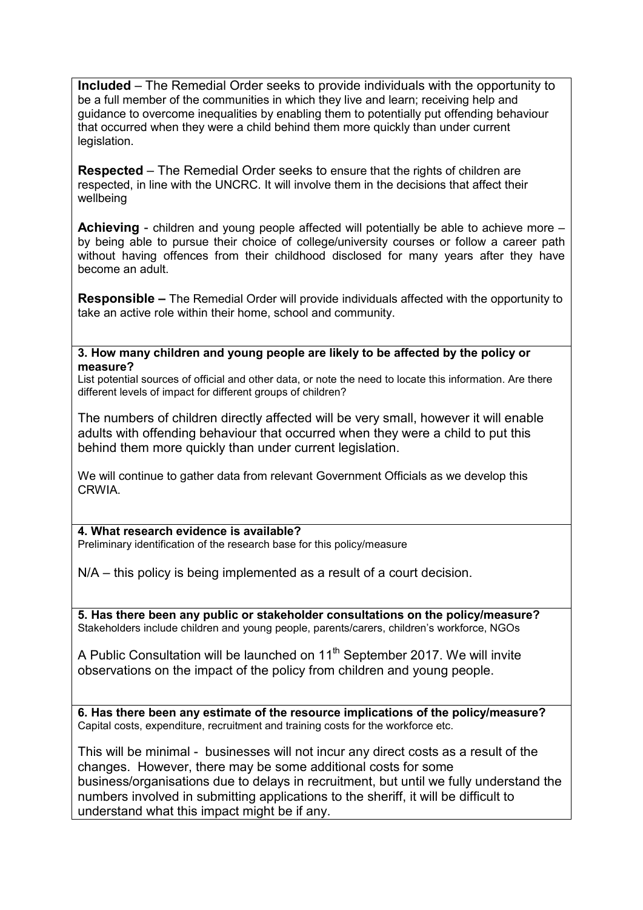**Included** – The Remedial Order seeks to provide individuals with the opportunity to be a full member of the communities in which they live and learn; receiving help and guidance to overcome inequalities by enabling them to potentially put offending behaviour that occurred when they were a child behind them more quickly than under current legislation.

**Respected** – The Remedial Order seeks to ensure that the rights of children are respected, in line with the UNCRC. It will involve them in the decisions that affect their wellbeing

**Achieving** - children and young people affected will potentially be able to achieve more – by being able to pursue their choice of college/university courses or follow a career path without having offences from their childhood disclosed for many years after they have become an adult.

**Responsible –** The Remedial Order will provide individuals affected with the opportunity to take an active role within their home, school and community.

**3. How many children and young people are likely to be affected by the policy or measure?**

List potential sources of official and other data, or note the need to locate this information. Are there different levels of impact for different groups of children?

The numbers of children directly affected will be very small, however it will enable adults with offending behaviour that occurred when they were a child to put this behind them more quickly than under current legislation.

We will continue to gather data from relevant Government Officials as we develop this CRWIA.

**4. What research evidence is available?** Preliminary identification of the research base for this policy/measure

N/A – this policy is being implemented as a result of a court decision.

**5. Has there been any public or stakeholder consultations on the policy/measure?** Stakeholders include children and young people, parents/carers, children's workforce, NGOs

A Public Consultation will be launched on 11<sup>th</sup> September 2017. We will invite observations on the impact of the policy from children and young people.

**6. Has there been any estimate of the resource implications of the policy/measure?** Capital costs, expenditure, recruitment and training costs for the workforce etc.

This will be minimal - businesses will not incur any direct costs as a result of the changes. However, there may be some additional costs for some business/organisations due to delays in recruitment, but until we fully understand the numbers involved in submitting applications to the sheriff, it will be difficult to understand what this impact might be if any.